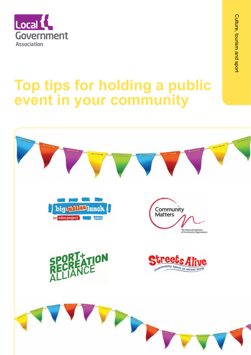

# **Top tips for holding a public event in your community**

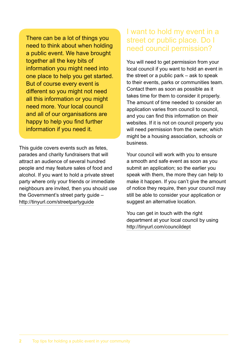There can be a lot of things you need to think about when holding a public event. We have brought together all the key bits of information you might need into one place to help you get started. But of course every event is different so you might not need all this information or you might need more. Your local council and all of our organisations are happy to help you find further information if you need it.

This guide covers events such as fetes, parades and charity fundraisers that will attract an audience of several hundred people and may feature sales of food and alcohol. If you want to hold a private street party where only your friends or immediate neighbours are invited, then you should use the Government's street party guide – http://tinyurl.com/streetpartyguide

#### I want to hold my event in a street or public place. Do I need council permission?

You will need to get permission from your local council if you want to hold an event in the street or a public park – ask to speak to their events, parks or communities team. Contact them as soon as possible as it takes time for them to consider it properly. The amount of time needed to consider an application varies from council to council, and you can find this information on their websites. If it is not on council property you will need permission from the owner, which might be a housing association, schools or business.

Your council will work with you to ensure a smooth and safe event as soon as you submit an application; so the earlier you speak with them, the more they can help to make it happen. If you can't give the amount of notice they require, then your council may still be able to consider your application or suggest an alternative location.

You can get in touch with the right department at your local council by using http://tinyurl.com/councildept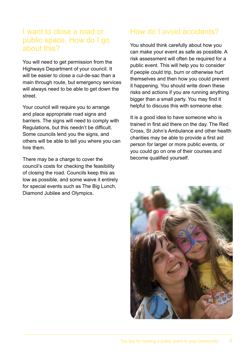#### I want to close a road or public space. How do I go about this?

You will need to get permission from the Highways Department of your council. It will be easier to close a cul-de-sac than a main through route, but emergency services will always need to be able to get down the street.

Your council will require you to arrange and place appropriate road signs and barriers. The signs will need to comply with Regulations, but this needn't be difficult. Some councils lend you the signs, and others will be able to tell you where you can hire them.

There may be a charge to cover the council's costs for checking the feasibility of closing the road. Councils keep this as low as possible, and some waive it entirely for special events such as The Big Lunch, Diamond Jubilee and Olympics.

### How do I avoid accidents?

You should think carefully about how you can make your event as safe as possible. A risk assessment will often be required for a public event. This will help you to consider if people could trip, burn or otherwise hurt themselves and then how you could prevent it happening. You should write down these risks and actions if you are running anything bigger than a small party. You may find it helpful to discuss this with someone else.

It is a good idea to have someone who is trained in first aid there on the day. The Red Cross, St John's Ambulance and other health charities may be able to provide a first aid person for larger or more public events, or you could go on one of their courses and become qualified yourself.

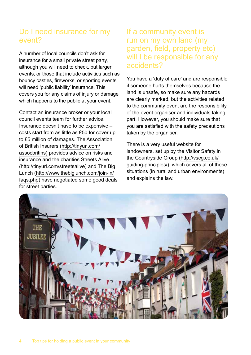#### Do I need insurance for my event?

A number of local councils don't ask for insurance for a small private street party, although you will need to check, but larger events, or those that include activities such as bouncy castles, fireworks, or sporting events will need 'public liability' insurance. This covers you for any claims of injury or damage which happens to the public at your event.

Contact an insurance broker or your local council events team for further advice. Insurance doesn't have to be expensive – costs start from as little as £50 for cover up to £5 million of damages. The Association of British Insurers (http://tinyurl.com/ assocbritins) provides advice on risks and insurance and the charities Streets Alive (http://tinyurl.com/streetsalive) and The Big Lunch (http://www.thebiglunch.com/join-in/ faqs.php) have negotiated some good deals for street parties.

#### If a community event is run on my own land (my garden, field, property etc) will I be responsible for any accidents?

You have a 'duty of care' and are responsible if someone hurts themselves because the land is unsafe, so make sure any hazards are clearly marked, but the activities related to the community event are the responsibility of the event organiser and individuals taking part. However, you should make sure that you are satisfied with the safety precautions taken by the organiser.

There is a very useful website for landowners, set up by the Visitor Safety in the Countryside Group (http://vscg.co.uk/ guiding-principles/), which covers all of these situations (in rural and urban environments) and explains the law.

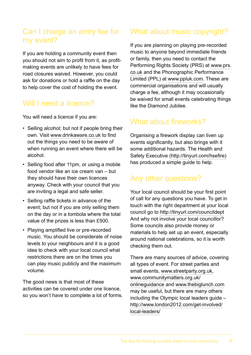#### Can I charge an entry fee for my event?

If you are holding a community event then you should not aim to profit from it, as profitmaking events are unlikely to have fees for road closures waived. However, you could ask for donations or hold a raffle on the day to help cover the cost of holding the event.

#### Will I need a licence?

You will need a licence if you are:

- Selling alcohol; but not if people bring their own. Visit www.drinkaware.co.uk to find out the things you need to be aware of when running an event where there will be alcohol.
- Selling food after 11pm, or using a mobile food vendor like an ice cream van – but they should have their own licences anyway. Check with your council that you are inviting a legal and safe seller.
- Selling raffle tickets in advance of the event; but not if you are only selling them on the day or in a tombola where the total value of the prizes is less than £500.
- Playing amplified live or pre-recorded music. You should be considerate of noise levels to your neighbours and it is a good idea to check with your local council what restrictions there are on the times you can play music publicly and the maximum volume.

The good news is that most of these activities can be covered under one licence, so you won't have to complete a lot of forms.

## What about music copyright?

If you are planning on playing pre-recorded music to anyone beyond immediate friends or family, then you need to contact the Performing Rights Society (PRS) at www.prs. co.uk and the Phonographic Performance Limited (PPL) at www.ppluk.com. These are commercial organisations and will usually charge a fee, although it may occasionally be waived for small events celebrating things like the Diamond Jubilee.

# What about fireworks?

Organising a firework display can liven up events significantly, but also brings with it some additional hazards. The Health and Safety Executive (http://tinyurl.com/hsefire) has produced a simple guide to help.

# Any other questions?

Your local council should be your first point of call for any questions you have. To get in touch with the right department at your local council go to http://tinyurl.com/councildept And why not involve your local councillor? Some councils also provide money or materials to help set up an event, especially around national celebrations, so it is worth checking them out.

There are many sources of advice, covering all types of event. For street parties and small events, www.streetparty.org.uk, www.communitymatters.org.uk/ onlineguidance and www.thebiglunch.com may be useful, but there are many others including the Olympic local leaders guide – http://www.london2012.com/get-involved/ local-leaders/